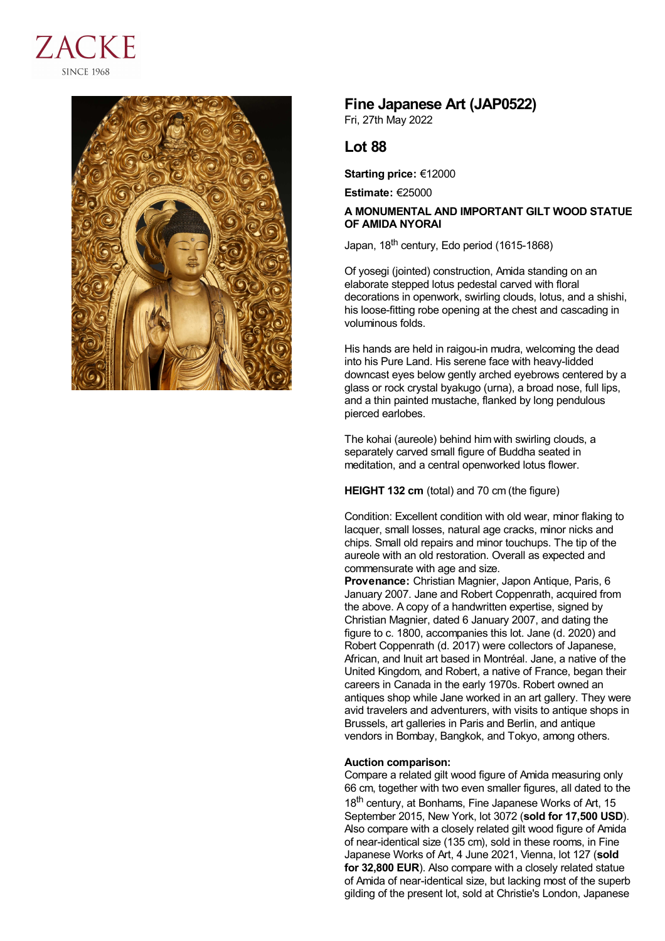



## **Fine Japanese Art (JAP0522)**

Fri, 27th May 2022

## **Lot 88**

**Starting price:** €12000

**Estimate:** €25000

## **A MONUMENTAL AND IMPORTANT GILT WOOD STATUE OF AMIDA NYORAI**

Japan, 18<sup>th</sup> century, Edo period (1615-1868)

Of yosegi (jointed) construction, Amida standing on an elaborate stepped lotus pedestal carved with floral decorations in openwork, swirling clouds, lotus, and a shishi, his loose-fitting robe opening at the chest and cascading in voluminous folds.

His hands are held in raigou-in mudra, welcoming the dead into his Pure Land. His serene face with heavy-lidded downcast eyes below gently arched eyebrows centered by a glass or rock crystal byakugo (urna), a broad nose, full lips, and a thin painted mustache, flanked by long pendulous pierced earlobes.

The kohai (aureole) behind him with swirling clouds, a separately carved small figure of Buddha seated in meditation, and a central openworked lotus flower.

**HEIGHT 132 cm** (total) and 70 cm (the figure)

Condition: Excellent condition with old wear, minor flaking to lacquer, small losses, natural age cracks, minor nicks and chips. Small old repairs and minor touchups. The tip of the aureole with an old restoration. Overall as expected and commensurate with age and size.

**Provenance:** Christian Magnier, Japon Antique, Paris, 6 January 2007. Jane and Robert Coppenrath, acquired from the above. A copy of a handwritten expertise, signed by Christian Magnier, dated 6 January 2007, and dating the figure to c. 1800, accompanies this lot. Jane (d. 2020) and Robert Coppenrath (d. 2017) were collectors of Japanese, African, and Inuit art based in Montréal. Jane, a native of the United Kingdom, and Robert, a native of France, began their careers in Canada in the early 1970s. Robert owned an antiques shop while Jane worked in an art gallery. They were avid travelers and adventurers, with visits to antique shops in Brussels, art galleries in Paris and Berlin, and antique vendors in Bombay, Bangkok, and Tokyo, among others.

## **Auction comparison:**

Compare a related gilt wood figure of Amida measuring only 66 cm, together with two even smaller figures, all dated to the 18<sup>th</sup> century, at Bonhams, Fine Japanese Works of Art, 15 September 2015, New York, lot 3072 (**sold for 17,500 USD**). Also compare with a closely related gilt wood figure of Amida of near-identical size (135 cm), sold in these rooms, in Fine Japanese Works of Art, 4 June 2021, Vienna, lot 127 (**sold for 32,800 EUR**). Also compare with a closely related statue of Amida of near-identical size, but lacking most of the superb gilding of the present lot, sold at Christie's London, Japanese